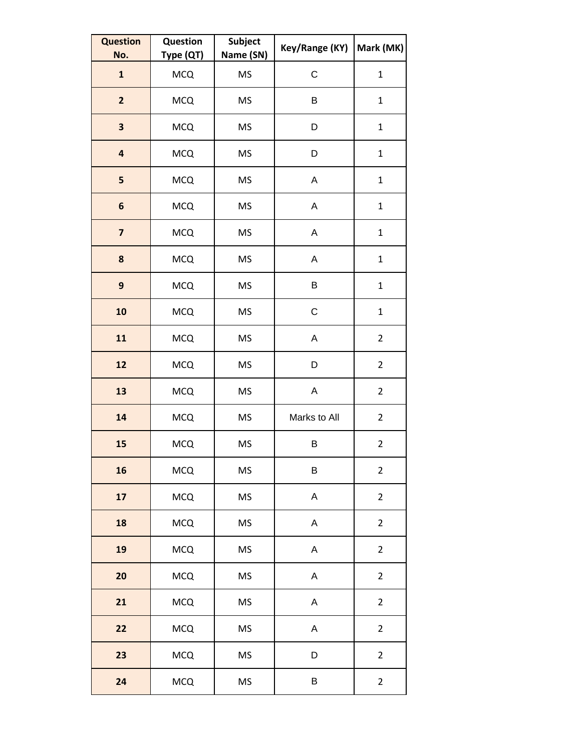| <b>Question</b><br>No.  | Question<br>Type (QT) | Subject<br>Name (SN) | Key/Range (KY) | Mark (MK)      |
|-------------------------|-----------------------|----------------------|----------------|----------------|
| $\mathbf{1}$            | <b>MCQ</b>            | <b>MS</b>            | C              | $\mathbf 1$    |
| $\overline{2}$          | <b>MCQ</b>            | <b>MS</b>            | B              | $\mathbf{1}$   |
| $\overline{\mathbf{3}}$ | <b>MCQ</b>            | <b>MS</b>            | D              | $\mathbf 1$    |
| $\overline{\mathbf{4}}$ | <b>MCQ</b>            | <b>MS</b>            | D              | $\mathbf 1$    |
| 5                       | <b>MCQ</b>            | <b>MS</b>            | A              | $\mathbf 1$    |
| $\boldsymbol{6}$        | <b>MCQ</b>            | <b>MS</b>            | A              | $\mathbf 1$    |
| $\overline{\mathbf{z}}$ | <b>MCQ</b>            | <b>MS</b>            | Α              | $\mathbf 1$    |
| 8                       | <b>MCQ</b>            | <b>MS</b>            | A              | $\mathbf 1$    |
| $\boldsymbol{9}$        | <b>MCQ</b>            | <b>MS</b>            | B              | $\mathbf 1$    |
| 10                      | <b>MCQ</b>            | <b>MS</b>            | C              | $\mathbf 1$    |
| 11                      | <b>MCQ</b>            | <b>MS</b>            | A              | $\overline{2}$ |
| 12                      | <b>MCQ</b>            | <b>MS</b>            | D              | $\overline{2}$ |
| 13                      | <b>MCQ</b>            | <b>MS</b>            | A              | $\overline{2}$ |
| 14                      | <b>MCQ</b>            | <b>MS</b>            | Marks to All   | $\overline{2}$ |
| 15                      | <b>MCQ</b>            | <b>MS</b>            | B              | $\overline{2}$ |
| 16                      | <b>MCQ</b>            | <b>MS</b>            | B              | $\overline{2}$ |
| 17                      | <b>MCQ</b>            | <b>MS</b>            | A              | $\overline{2}$ |
| 18                      | <b>MCQ</b>            | <b>MS</b>            | A              | $\overline{2}$ |
| 19                      | <b>MCQ</b>            | <b>MS</b>            | A              | $\overline{2}$ |
| 20                      | <b>MCQ</b>            | <b>MS</b>            | A              | $\overline{2}$ |
| 21                      | <b>MCQ</b>            | <b>MS</b>            | Α              | $\overline{2}$ |
| 22                      | <b>MCQ</b>            | <b>MS</b>            | A              | $\overline{2}$ |
| 23                      | <b>MCQ</b>            | <b>MS</b>            | D              | $\overline{2}$ |
| 24                      | <b>MCQ</b>            | MS                   | B              | $\overline{2}$ |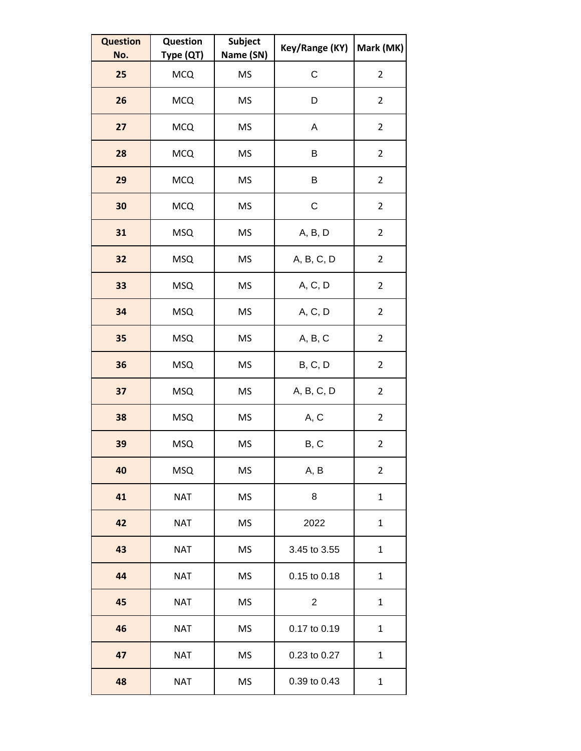| <b>Question</b><br>No. | <b>Question</b><br>Type (QT) | <b>Subject</b><br>Name (SN) | Key/Range (KY) | Mark (MK)      |
|------------------------|------------------------------|-----------------------------|----------------|----------------|
| 25                     | <b>MCQ</b>                   | <b>MS</b>                   | C              | $\overline{2}$ |
| 26                     | <b>MCQ</b>                   | MS                          | D              | $\overline{2}$ |
| 27                     | <b>MCQ</b>                   | MS                          | Α              | $\overline{2}$ |
| 28                     | <b>MCQ</b>                   | MS                          | B              | $\overline{2}$ |
| 29                     | <b>MCQ</b>                   | <b>MS</b>                   | Β              | $\overline{2}$ |
| 30                     | <b>MCQ</b>                   | MS                          | $\mathsf C$    | $\overline{2}$ |
| 31                     | <b>MSQ</b>                   | MS                          | A, B, D        | $\overline{2}$ |
| 32                     | <b>MSQ</b>                   | <b>MS</b>                   | A, B, C, D     | $\overline{2}$ |
| 33                     | <b>MSQ</b>                   | MS                          | A, C, D        | $\overline{2}$ |
| 34                     | <b>MSQ</b>                   | MS                          | A, C, D        | $\overline{2}$ |
| 35                     | <b>MSQ</b>                   | <b>MS</b>                   | A, B, C        | $\overline{2}$ |
| 36                     | <b>MSQ</b>                   | MS                          | B, C, D        | $\overline{2}$ |
| 37                     | <b>MSQ</b>                   | MS                          | A, B, C, D     | $\overline{2}$ |
| 38                     | <b>MSQ</b>                   | MS                          | A, C           | $\overline{2}$ |
| 39                     | <b>MSQ</b>                   | MS                          | B, C           | $\overline{2}$ |
| 40                     | <b>MSQ</b>                   | <b>MS</b>                   | A, B           | $\overline{2}$ |
| 41                     | <b>NAT</b>                   | <b>MS</b>                   | 8              | $\mathbf 1$    |
| 42                     | <b>NAT</b>                   | MS                          | 2022           | 1              |
| 43                     | <b>NAT</b>                   | <b>MS</b>                   | 3.45 to 3.55   | 1              |
| 44                     | <b>NAT</b>                   | <b>MS</b>                   | 0.15 to 0.18   | $\mathbf 1$    |
| 45                     | <b>NAT</b>                   | MS                          | $\overline{2}$ | 1              |
| 46                     | <b>NAT</b>                   | <b>MS</b>                   | 0.17 to 0.19   | 1              |
| 47                     | <b>NAT</b>                   | <b>MS</b>                   | 0.23 to 0.27   | $\mathbf 1$    |
| 48                     | <b>NAT</b>                   | MS                          | 0.39 to 0.43   | $\mathbf 1$    |